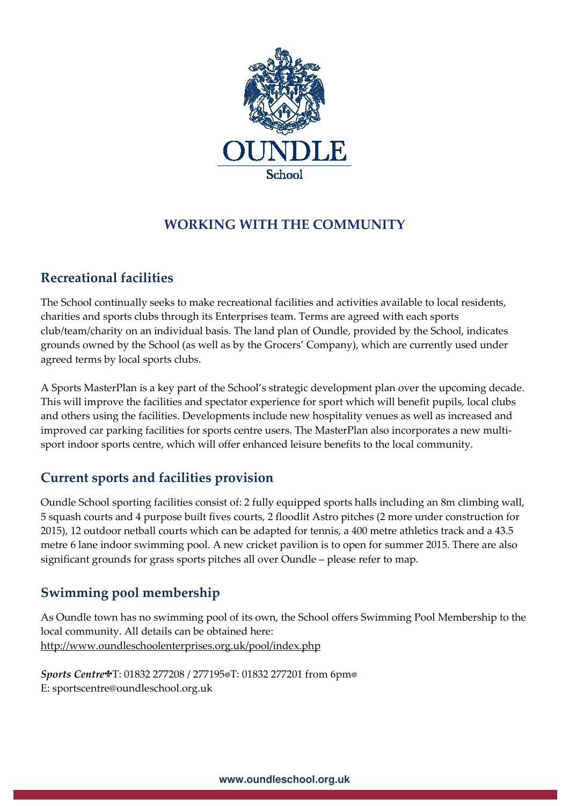

# **WORKING WITH THE COMMUNITY**

# **Recreational facilities**

The School continually seeks to make recreational facilities and activities available to local residents, charities and sports clubs through its Enterprises team. Terms are agreed with each sports club/team/charity on an individual basis. The land plan of Oundle, provided by the School, indicates grounds owned by the School (as well as by the Grocers' Company), which are currently used under agreed terms by local sports clubs.

A Sports MasterPlan is a key part of the School's strategic development plan over the upcoming decade. This will improve the facilities and spectator experience for sport which will benefit pupils, local clubs and others using the facilities. Developments include new hospitality venues as well as increased and improved car parking facilities for sports centre users. The MasterPlan also incorporates a new multisport indoor sports centre, which will offer enhanced leisure benefits to the local community.

# **Current sports and facilities provision**

Oundle School sporting facilities consist of: 2 fully equipped sports halls including an 8m climbing wall, 5 squash courts and 4 purpose built fives courts, 2 floodlit Astro pitches (2 more under construction for 2015), 12 outdoor netball courts which can be adapted for tennis, a 400 metre athletics track and a 43.5 metre 6 lane indoor swimming pool. A new cricket pavilion is to open for summer 2015. There are also significant grounds for grass sports pitches all over Oundle – please refer to map.

## **Swimming pool membership**

As Oundle town has no swimming pool of its own, the School offers Swimming Pool Membership to the local community. All details can be obtained here: http://www.oundleschoolenterprises.org.uk/pool/index.php

*Sports Centre*T: 01832 277208 / 277195
T: 01832 277201 from 6pm
 E: sportscentre@oundleschool.org.uk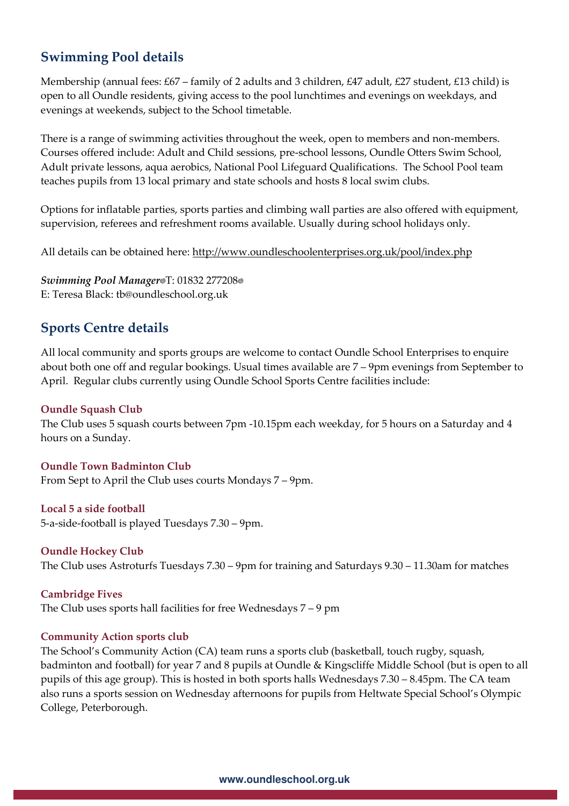### **Swimming Pool details**

Membership (annual fees: £67 – family of 2 adults and 3 children, £47 adult, £27 student, £13 child) is open to all Oundle residents, giving access to the pool lunchtimes and evenings on weekdays, and evenings at weekends, subject to the School timetable.

There is a range of swimming activities throughout the week, open to members and non-members. Courses offered include: Adult and Child sessions, pre-school lessons, Oundle Otters Swim School, Adult private lessons, aqua aerobics, National Pool Lifeguard Qualifications. The School Pool team teaches pupils from 13 local primary and state schools and hosts 8 local swim clubs.

Options for inflatable parties, sports parties and climbing wall parties are also offered with equipment, supervision, referees and refreshment rooms available. Usually during school holidays only.

All details can be obtained here: http://www.oundleschoolenterprises.org.uk/pool/index.php

*Swimming Pool Manager*T: 01832 277208
 E: Teresa Black: tb@oundleschool.org.uk

## **Sports Centre details**

All local community and sports groups are welcome to contact Oundle School Enterprises to enquire about both one off and regular bookings. Usual times available are 7 – 9pm evenings from September to April. Regular clubs currently using Oundle School Sports Centre facilities include:

#### **Oundle Squash Club**

The Club uses 5 squash courts between 7pm -10.15pm each weekday, for 5 hours on a Saturday and 4 hours on a Sunday.

**Oundle Town Badminton Club**  From Sept to April the Club uses courts Mondays 7 – 9pm.

#### **Local 5 a side football**

5-a-side-football is played Tuesdays 7.30 – 9pm.

**Oundle Hockey Club**  The Club uses Astroturfs Tuesdays 7.30 – 9pm for training and Saturdays 9.30 – 11.30am for matches

**Cambridge Fives**  The Club uses sports hall facilities for free Wednesdays 7 – 9 pm

#### **Community Action sports club**

The School's Community Action (CA) team runs a sports club (basketball, touch rugby, squash, badminton and football) for year 7 and 8 pupils at Oundle & Kingscliffe Middle School (but is open to all pupils of this age group). This is hosted in both sports halls Wednesdays 7.30 – 8.45pm. The CA team also runs a sports session on Wednesday afternoons for pupils from Heltwate Special School's Olympic College, Peterborough.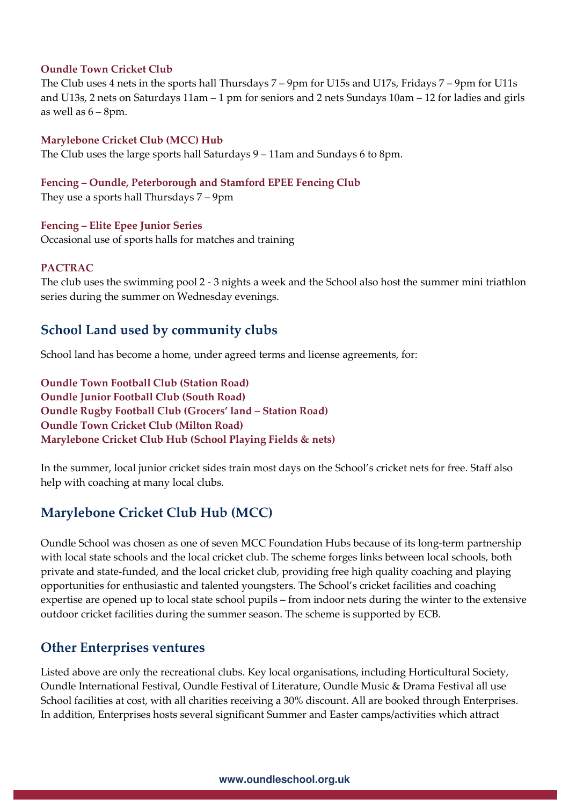#### **Oundle Town Cricket Club**

The Club uses 4 nets in the sports hall Thursdays 7 – 9pm for U15s and U17s, Fridays 7 – 9pm for U11s and U13s, 2 nets on Saturdays 11am – 1 pm for seniors and 2 nets Sundays 10am – 12 for ladies and girls as well as  $6 - 8$ pm.

#### **Marylebone Cricket Club (MCC) Hub**

The Club uses the large sports hall Saturdays 9 – 11am and Sundays 6 to 8pm.

#### **Fencing – Oundle, Peterborough and Stamford EPEE Fencing Club**

They use a sports hall Thursdays 7 – 9pm

#### **Fencing – Elite Epee Junior Series**

Occasional use of sports halls for matches and training

#### **PACTRAC**

The club uses the swimming pool 2 - 3 nights a week and the School also host the summer mini triathlon series during the summer on Wednesday evenings.

### **School Land used by community clubs**

School land has become a home, under agreed terms and license agreements, for:

**Oundle Town Football Club (Station Road) Oundle Junior Football Club (South Road) Oundle Rugby Football Club (Grocers' land – Station Road) Oundle Town Cricket Club (Milton Road) Marylebone Cricket Club Hub (School Playing Fields & nets)** 

In the summer, local junior cricket sides train most days on the School's cricket nets for free. Staff also help with coaching at many local clubs.

## **Marylebone Cricket Club Hub (MCC)**

Oundle School was chosen as one of seven MCC Foundation Hubs because of its long-term partnership with local state schools and the local cricket club. The scheme forges links between local schools, both private and state-funded, and the local cricket club, providing free high quality coaching and playing opportunities for enthusiastic and talented youngsters. The School's cricket facilities and coaching expertise are opened up to local state school pupils – from indoor nets during the winter to the extensive outdoor cricket facilities during the summer season. The scheme is supported by ECB.

### **Other Enterprises ventures**

Listed above are only the recreational clubs. Key local organisations, including Horticultural Society, Oundle International Festival, Oundle Festival of Literature, Oundle Music & Drama Festival all use School facilities at cost, with all charities receiving a 30% discount. All are booked through Enterprises. In addition, Enterprises hosts several significant Summer and Easter camps/activities which attract